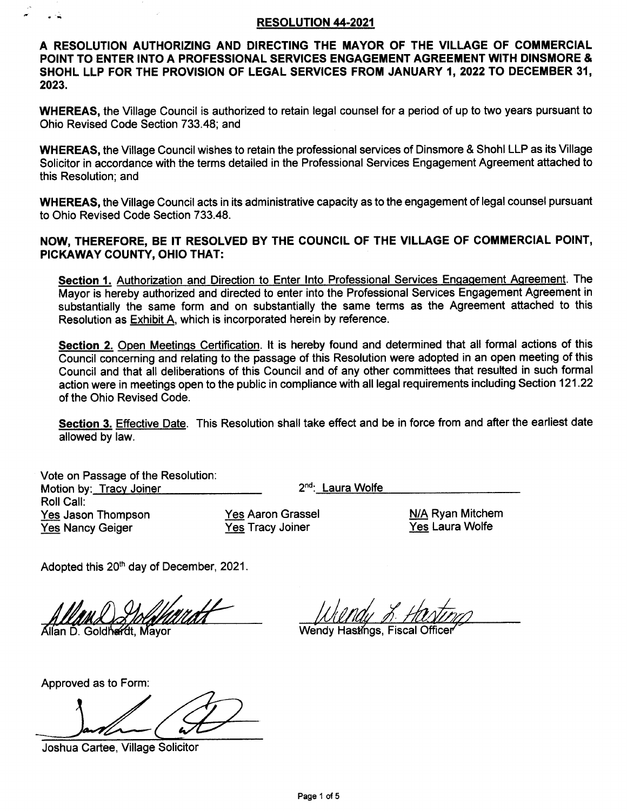#### RESOLUTION 44.2021

A RESOLUTION AUTHORIZING AND DIRECTING THE MAYOR OF THE VILLAGE OF GOMMERCIAL POINT TO ENTER INTO A PROFESSIONAL SERVICES ENGAGEMENT AGREEMENT WITH DINSMORE & SHOHL LLP FOR THE PROVISION OF LEGAL SERVICES FROM JANUARY 1,2022 TO DECEMBER 3{, 2023.

WHEREAS, the Village Council is authorized to retain legal counsel for a period of up to two years pursuant to Ohio Revised Code Section 733.48; and

WHEREAS, the Village Council wishes to retain the professional services of Dinsmore & Shohl LLP as its Village Solicitor in accordance with the terms detailed in the Professional Services Engagement Agreement attached to this Resolution; and

WHEREAS, the Village Council acts in its administrative capacity as to the engagement of legal counsel pursuant to Ohio Revised Code Section 733.48.

#### NOW, THEREFORE, BE IT RESOLVED BY THE COUNCIL OF THE VILLAGE OF COMiNERCIAL POINT, PICKAWAY COUNTY, OHIO THAT:

Section 1. Authorization and Direction to Enter Into Professional Services Engagement Agreement. The Mayor is hereby authorized and directed to enter into the Professional Services Engagement Agreement in substantially the same form and on substantially the same terms as the Agreement attached to this Resolution as **Exhibit A**, which is incorporated herein by reference.

Section 2. Open Meetings Certification. It is hereby found and determined that all formal actions of this Council concerning and relating to the passage of this Resolution were adopted in an open meeting of this Council and that all deliberations of this Council and of any other committees that resulted in such formal action were in meetings open to the public in compliance with all legal requirements including Section 121.22 of the Ohio Revised Code.

Section 3. Effective Date. This Resolution shall take effect and be in force from and after the earliest date allowed by law.

Vote on Passage of the Resolution Motion by: Tracy Joiner 2nd: Laura Wolfe Roll Call: Yes Jason Thompson Yes Nancy Geiger

Yes Aaron Grassel Yes Tracy Joiner

N/A Ryan Mitchem Yes Laura Wolfe

Adopted this 20<sup>th</sup> day of December, 2021.

Allan D. Goldhardt, Mayor **Manual Allan Wendy Hastings, Fiscal Officer** 

Approved as to Form

Joshua Cartee, Village Solicitor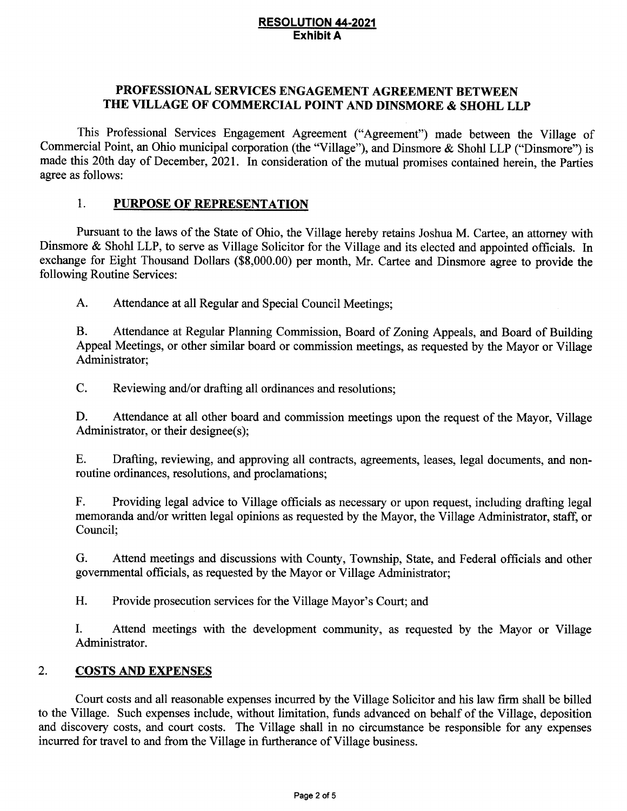#### RESOLUTION 44.2021 Exhibit A

## PROFESSIONAL SERVICES ENGAGEMENT AGREEMENT BETWEEN THE VILLAGE OF COMMERCIAL POINT AND DINSMORE & SHOHL LLP

This Professional Services Engagement Agreement ("Agreement") made between the Village of Commercial Point, an Ohio municipal corporation (the "Village"), and Dinsmore & Shohl LLP ("Dinsmore") is made this 20th day of December, 2021. In consideration of the mutual promises contained herein, the Parties agree as follows:

### 1. PURPOSE OF REPRESENTATION

Pursuant to the laws of the State of Ohio, the Village hereby retains Joshua M. Cartee, an attorney with Dinsmore & Shohl LLP, to serve as Village Solicitor for the Village and its elected and appointed officials. In exchange for Eight Thousand Dollars (\$8,000.00) per month, Mr. Cartee and Dinsmore agree to provide the following Routine Services:

A. Attendance at all Regular and Special Council Meetings;

B. Attendance at Regular Planning Commission, Board of Zoning Appeals, and Board of Building Appeal Meetings, or other similar board or commission meetings, as requested by the Mayor or Village Administrator;

C. Reviewing and/or drafting all ordinances and resolutions;

D. Attendance at all other board and commission meetings upon the request of the Mayor, Village Administrator, or their designee(s);

E. Drafting, reviewing, and approving all contracts, agreements, leases, legal documents, and nonroutine ordinances, resolutions, and proclamations;

F. Providing legal advice to Village officials as necessary or upon request, including drafting legal memoranda and/or written legal opinions as requested by the Mayor, the Village Administrator, staff, or Council;

G. Attend meetings and discussions with County, Township, State, and Federal officials and other govemmental offrcials, as requested by the Mayor or Village Administrator;

H. Provide prosecution services for the Village Mayor's Court; and

I. Attend meetings with the development community, as requested by the Mayor or Village Administrator.

#### 2. COSTS AND EXPENSES

Court costs and all reasonable expenses incurred by the Village Solicitor and his law firm shall be billed to the Village. Such expenses include, without limitation, funds advanced on behalf of the Village, deposition and discovery costs, and court costs. The Village shall in no circumstance be responsible for any expenses incurred for travel to and from the Village in furtherance of Village business.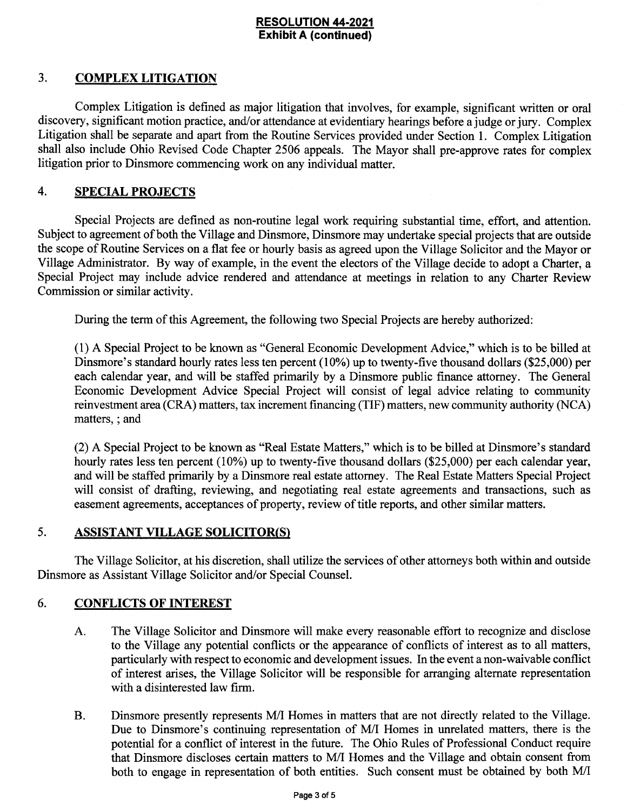#### RESOLUTION 44-2021 Exhibit A (continued)

## 3. COMPLEX LITIGATION

Complex Litigation is defined as major litigation that involves, for example, significant written or oral discovery, significant motion practice, and/or attendance at evidentiary hearings before a judge or jury. Complex Litigation shall be separate and apart from the Routine Services provided under Section 1. Complex Litigation shall also include Ohio Revised Code Chapter 2506 appeals. The Mayor shall pre-approve rates for complex litigation prior to Dinsmore commencing work on any individual matter.

#### 4. SPECIAL PROJECTS

Special Projects are defined as non-routine legal work requiring substantial time, effort, and attention. Subject to agreement of both the Village and Dinsmore, Dinsmore may undertake special projects that are outside the scope of Routine Services on a flat fee or hourly basis as agreed upon the Village Solicitor and the Mayor or Village Administrator. By way of example, in the event the electors of the Village decide to adopt a Charter, a Special Project may include advice rendered and attendance at meetings in relation to any Charter Review Commission or similar activity.

During the term of this Agreement, the following two Special Projects are hereby authorized:

(1) A Special Project to be known as "General Economic Development Advice," which is to be billed at Dinsmore's standard hourly rates less ten percent (10%) up to twenty-five thousand dollars (\$25,000) per each calendar year, and will be staffed primarily by a Dinsmore public finance attorney. The General Economic Development Advice Special Project will consist of legal advice relating to community reinvestment area (CRA) matters, tax increment financing (TIF) matters, new community authority (NCA) matters, ; and

(2) A Special Project to be known as "Real Estate Matters," which is to be billed at Dinsmore's standard hourly rates less ten percent (10%) up to twenty-five thousand dollars (\$25,000) per each calendar year, and will be staffed primarily by a Dinsmore real estate attorney. The Real Estate Matters Special Project will consist of drafting, reviewing, and negotiating real estate agreements and transactions, such as easement agreements, acceptances of properfy, review of title reports, and other similar matters.

#### 5. ASSISTANT VILLAGE SOLICITOR(S)

The Village Solicitor, at his discretion, shall utilize the services of other attorneys both within and outside Dinsmore as Assistant Village Solicitor and/or Special Counsel.

## 6. CONFLICTS OF INTEREST

- A. The Village Solicitor and Dinsmore will make every reasonable effort to recognize and disclose to the Village any potential conflicts or the appearance of conflicts of interest as to all matters, particularly with respect to economic and development issues. In the event a non-waivable conflict of interest arises, the Village Solicitor will be responsible for arranging alternate representation with a disinterested law firm.
- Dinsmore presently represents M/I Homes in matters that are not directly related to the Village. Due to Dinsmore's continuing representation of M/I Homes in unrelated matters, there is the potential for a conflict of interest in the future. The Ohio Rules of Professional Conduct require that Dinsmore discloses certain matters to IWI Homes and the Village and obtain consent from both to engage in representation of both entities. Such consent must be obtained by both M/I B.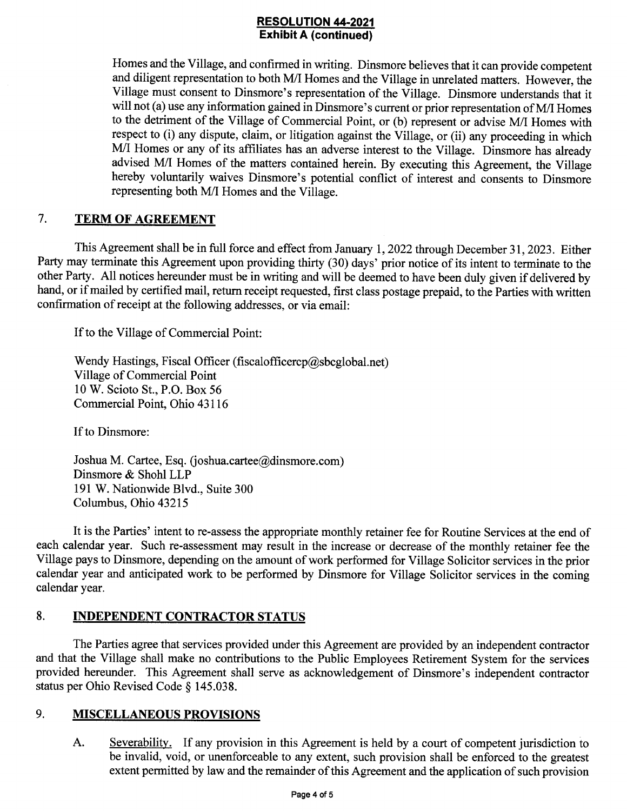# **RESOLUTION 44-2021**<br>Exhibit A (continued)

Homes and the Village, and confirmed in writing. Dinsmore believes that it can provide competent and diligent representation to both M/I Homes and the Village in unrelated matters. However, the Village must consent to Dinsmore's representation of the Village. Dinsmore understands that it will not (a) use any information gained in Dinsmore's current or prior representation of M/I Homes to the detriment of the Village of Commercial Point, or (b) represent or advise M/I Homes with respect to (i) any dispute, claim, or litigation against the Village, or (ii) any proceeding in which M/I Homes or any of its affitiates has an adverse interest to the Village. Dinsmore has already advised M/I Homes of the matters contained herein. By executing this Agreement, the Village hereby voluntarily waives Dinsmore's potential conflict of interest and consents to Dinsmore representing both M/I Homes and the Village.

## 7. TERM OF AGREEMENT

This Agreement shall be in full force and effect from January 1, 2022 through December 31, 2023. Either Party may terminate this Agreement upon providing thirty (30) days' prior notice of its intent to terminate to the other Party. All notices hereunder must be in writing and will be deemed to have been duly given if delivered by hand, or if mailed by certified mail, retum receipt requested, first class postage prepaid, to the Parties with written confirmation of receipt at the following addresses, or via email:

If to the Village of Commercial Point:

Wendy Hastings, Fiscal Officer (fiscalofficercp@sbcglobal.net) Village of Commercial Point 10 W. Scioto St., P.O. Box 56 Commercial Point, Ohio 43116

If to Dinsmore:

Joshua M. Cartee, Esq. (joshua.cartee@dinsmore.com) Dinsmore & Shohl LLP 191 W. Nationwide Blvd., Suite 300 Columbus, Ohio 43215

It is the Parties' intent to re-assess the appropriate monthly retainer fee for Routine Services at the end of each calendar year. Such re-assessment may result in the increase or decrease of the monthly retainer fee the Village pays to Dinsmore, depending on the amount of work performed for Village Solicitor services in the prior calendar year and anticipated work to be performed by Dinsmore for Village Solicitor services in the coming calendar year.

## 8. INDEPENDENT CONTRACTOR STATUS

The Parties agree that services provided under this Agreement are provided by an independent contractor and that the Village shall make no contributions to the Public Employees Retirement System for the services provided hereunder. This Agreement shall serve as acknowledgement of Dinsmore's independent contractor status per Ohio Revised Code § 145.038.

## 9. MISCELLANEOUS PROVISIONS

Severability. If any provision in this Agreement is held by a court of competent jurisdiction to be invalid, void, or unenforceable to any extent, such provision shall be enforced to the greatest extent permitted by law and the remainder of this Agreement and the application of such provision A.